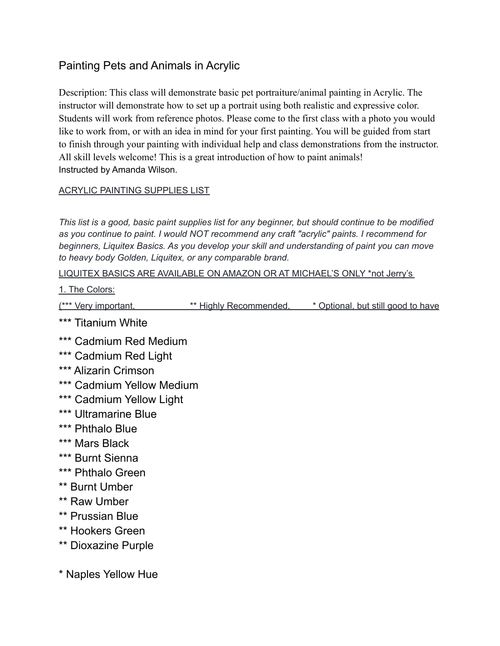### Painting Pets and Animals in Acrylic

Description: This class will demonstrate basic pet portraiture/animal painting in Acrylic. The instructor will demonstrate how to set up a portrait using both realistic and expressive color. Students will work from reference photos. Please come to the first class with a photo you would like to work from, or with an idea in mind for your first painting. You will be guided from start to finish through your painting with individual help and class demonstrations from the instructor. All skill levels welcome! This is a great introduction of how to paint animals! Instructed by Amanda Wilson.

### ACRYLIC PAINTING SUPPLIES LIST

This list is a good, basic paint supplies list for any beginner, but should continue to be modified *as you continue to paint. I would NOT recommend any craft "acrylic" paints. I recommend for beginners, Liquitex Basics. As you develop your skill and understanding of paint you can move to heavy body Golden, Liquitex, or any comparable brand.*

LIQUITEX BASICS ARE AVAILABLE ON AMAZON OR AT MICHAEL'S ONLY \*not Jerry's

1. The Colors:

(\*\*\* Very important, \*\* Highly Recommended, \* Optional, but still good to have

- \*\*\* Titanium White
- \*\*\* Cadmium Red Medium
- \*\*\* Cadmium Red Light
- \*\*\* Alizarin Crimson
- \*\*\* Cadmium Yellow Medium
- \*\*\* Cadmium Yellow Light
- \*\*\* Ultramarine Blue
- \*\*\* Phthalo Blue
- \*\*\* Mars Black
- \*\*\* Burnt Sienna
- \*\*\* Phthalo Green
- \*\* Burnt Umber
- \*\* Raw Umber
- \*\* Prussian Blue
- \*\* Hookers Green
- \*\* Dioxazine Purple
- \* Naples Yellow Hue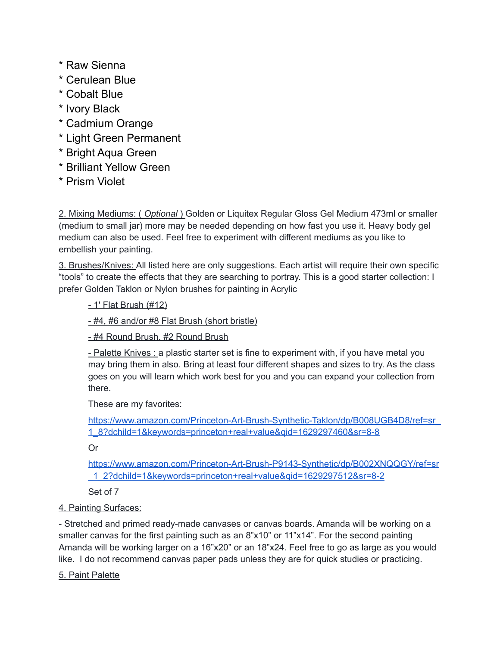- \* Raw Sienna
- \* Cerulean Blue
- \* Cobalt Blue
- \* Ivory Black
- \* Cadmium Orange
- \* Light Green Permanent
- \* Bright Aqua Green
- \* Brilliant Yellow Green
- \* Prism Violet

2. Mixing Mediums: ( *Optional* ) Golden or Liquitex Regular Gloss Gel Medium 473ml or smaller (medium to small jar) more may be needed depending on how fast you use it. Heavy body gel medium can also be used. Feel free to experiment with different mediums as you like to embellish your painting.

3. Brushes/Knives: All listed here are only suggestions. Each artist will require their own specific "tools" to create the effects that they are searching to portray. This is a good starter collection: I prefer Golden Taklon or Nylon brushes for painting in Acrylic

- 1' Flat Brush (#12)

- #4, #6 and/or #8 Flat Brush (short bristle)

- #4 Round Brush, #2 Round Brush

- Palette Knives : a plastic starter set is fine to experiment with, if you have metal you may bring them in also. Bring at least four different shapes and sizes to try. As the class goes on you will learn which work best for you and you can expand your collection from there.

These are my favorites:

[https://www.amazon.com/Princeton-Art-Brush-Synthetic-Taklon/dp/B008UGB4D8/ref=sr\\_](https://www.amazon.com/Princeton-Art-Brush-Synthetic-Taklon/dp/B008UGB4D8/ref=sr_1_8?dchild=1&keywords=princeton+real+value&qid=1629297460&sr=8-8) [1\\_8?dchild=1&keywords=princeton+real+value&qid=1629297460&sr=8-8](https://www.amazon.com/Princeton-Art-Brush-Synthetic-Taklon/dp/B008UGB4D8/ref=sr_1_8?dchild=1&keywords=princeton+real+value&qid=1629297460&sr=8-8)

Or

[https://www.amazon.com/Princeton-Art-Brush-P9143-Synthetic/dp/B002XNQQGY/ref=sr](https://www.amazon.com/Princeton-Art-Brush-P9143-Synthetic/dp/B002XNQQGY/ref=sr_1_2?dchild=1&keywords=princeton+real+value&qid=1629297512&sr=8-2) [\\_1\\_2?dchild=1&keywords=princeton+real+value&qid=1629297512&sr=8-2](https://www.amazon.com/Princeton-Art-Brush-P9143-Synthetic/dp/B002XNQQGY/ref=sr_1_2?dchild=1&keywords=princeton+real+value&qid=1629297512&sr=8-2)

Set of 7

### 4. Painting Surfaces:

- Stretched and primed ready-made canvases or canvas boards. Amanda will be working on a smaller canvas for the first painting such as an 8"x10" or 11"x14". For the second painting Amanda will be working larger on a 16"x20" or an 18"x24. Feel free to go as large as you would like. I do not recommend canvas paper pads unless they are for quick studies or practicing.

#### 5. Paint Palette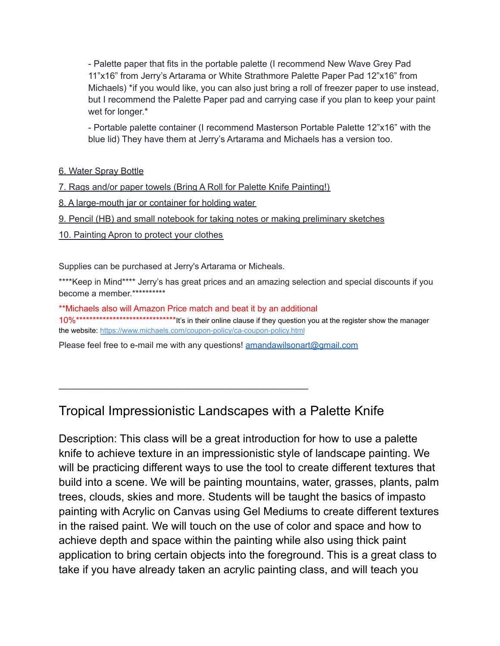- Palette paper that fits in the portable palette (I recommend New Wave Grey Pad 11"x16" from Jerry's Artarama or White Strathmore Palette Paper Pad 12"x16" from Michaels) \*if you would like, you can also just bring a roll of freezer paper to use instead, but I recommend the Palette Paper pad and carrying case if you plan to keep your paint wet for longer.\*

- Portable palette container (I recommend Masterson Portable Palette 12"x16" with the blue lid) They have them at Jerry's Artarama and Michaels has a version too.

#### 6. Water Spray Bottle

- 7. Rags and/or paper towels (Bring A Roll for Palette Knife Painting!)
- 8. A large-mouth jar or container for holding water
- 9. Pencil (HB) and small notebook for taking notes or making preliminary sketches
- 10. Painting Apron to protect your clothes

Supplies can be purchased at Jerry's Artarama or Micheals.

\*\*\*\*Keep in Mind\*\*\*\* Jerry's has great prices and an amazing selection and special discounts if you become a member.\*\*\*\*\*\*\*\*\*\*

\*\*Michaels also will Amazon Price match and beat it by an additional 10%\*\*\*\*\*\*\*\*\*\*\*\*\*\*\*\*\*\*\*\*\*\*\*\*\*\*\*\*\*\*It's in their online clause if they question you at the register show the manager the website: <https://www.michaels.com/coupon-policy/ca-coupon-policy.html>

Please feel free to e-mail me with any questions! [amandawilsonart@gmail.com](mailto:amandawilsonart@gmail.com)

\_\_\_\_\_\_\_\_\_\_\_\_\_\_\_\_\_\_\_\_\_\_\_\_\_\_\_\_\_\_\_\_\_\_\_\_\_\_\_\_\_\_\_\_\_\_\_\_\_\_

# Tropical Impressionistic Landscapes with a Palette Knife

Description: This class will be a great introduction for how to use a palette knife to achieve texture in an impressionistic style of landscape painting. We will be practicing different ways to use the tool to create different textures that build into a scene. We will be painting mountains, water, grasses, plants, palm trees, clouds, skies and more. Students will be taught the basics of impasto painting with Acrylic on Canvas using Gel Mediums to create different textures in the raised paint. We will touch on the use of color and space and how to achieve depth and space within the painting while also using thick paint application to bring certain objects into the foreground. This is a great class to take if you have already taken an acrylic painting class, and will teach you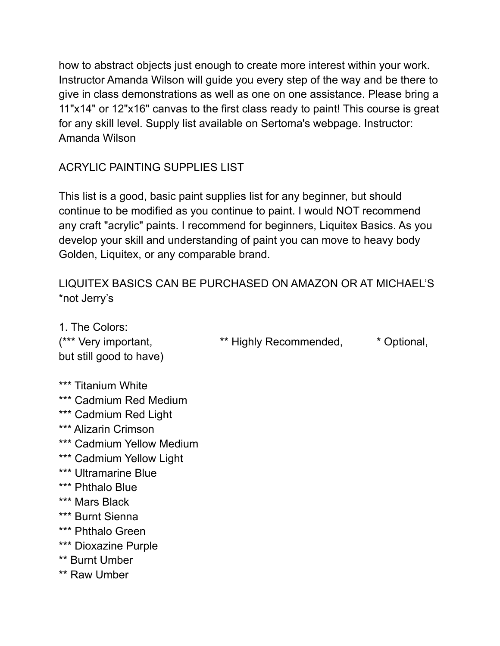how to abstract objects just enough to create more interest within your work. Instructor Amanda Wilson will guide you every step of the way and be there to give in class demonstrations as well as one on one assistance. Please bring a 11"x14" or 12"x16" canvas to the first class ready to paint! This course is great for any skill level. Supply list available on Sertoma's webpage. Instructor: Amanda Wilson

# ACRYLIC PAINTING SUPPLIES LIST

This list is a good, basic paint supplies list for any beginner, but should continue to be modified as you continue to paint. I would NOT recommend any craft "acrylic" paints. I recommend for beginners, Liquitex Basics. As you develop your skill and understanding of paint you can move to heavy body Golden, Liquitex, or any comparable brand.

## LIQUITEX BASICS CAN BE PURCHASED ON AMAZON OR AT MICHAEL'S \*not Jerry's

1. The Colors: but still good to have)

(\*\*\* Very important, \*\* Highly Recommended, \*\* Optional,

- \*\*\* Titanium White
- \*\*\* Cadmium Red Medium
- \*\*\* Cadmium Red Light
- \*\*\* Alizarin Crimson
- \*\*\* Cadmium Yellow Medium
- \*\*\* Cadmium Yellow Light
- \*\*\* Ultramarine Blue
- \*\*\* Phthalo Blue
- \*\*\* Mars Black
- \*\*\* Burnt Sienna
- \*\*\* Phthalo Green
- \*\*\* Dioxazine Purple
- \*\* Burnt Umber
- \*\* Raw Umber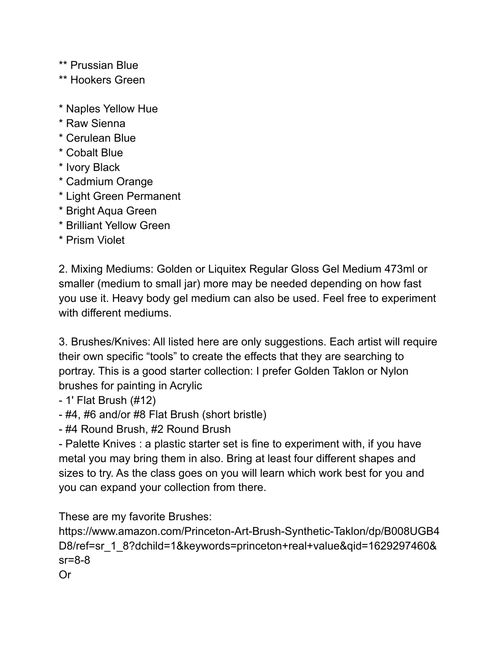- \*\* Prussian Blue
- \*\* Hookers Green
- \* Naples Yellow Hue
- \* Raw Sienna
- \* Cerulean Blue
- \* Cobalt Blue
- \* Ivory Black
- \* Cadmium Orange
- \* Light Green Permanent
- \* Bright Aqua Green
- \* Brilliant Yellow Green
- \* Prism Violet

2. Mixing Mediums: Golden or Liquitex Regular Gloss Gel Medium 473ml or smaller (medium to small jar) more may be needed depending on how fast you use it. Heavy body gel medium can also be used. Feel free to experiment with different mediums.

3. Brushes/Knives: All listed here are only suggestions. Each artist will require their own specific "tools" to create the effects that they are searching to portray. This is a good starter collection: I prefer Golden Taklon or Nylon brushes for painting in Acrylic

- 1' Flat Brush (#12)
- #4, #6 and/or #8 Flat Brush (short bristle)
- #4 Round Brush, #2 Round Brush

- Palette Knives : a plastic starter set is fine to experiment with, if you have metal you may bring them in also. Bring at least four different shapes and sizes to try. As the class goes on you will learn which work best for you and you can expand your collection from there.

These are my favorite Brushes:

https://www.amazon.com/Princeton-Art-Brush-Synthetic-Taklon/dp/B008UGB4 D8/ref=sr\_1\_8?dchild=1&keywords=princeton+real+value&qid=1629297460& sr=8-8

Or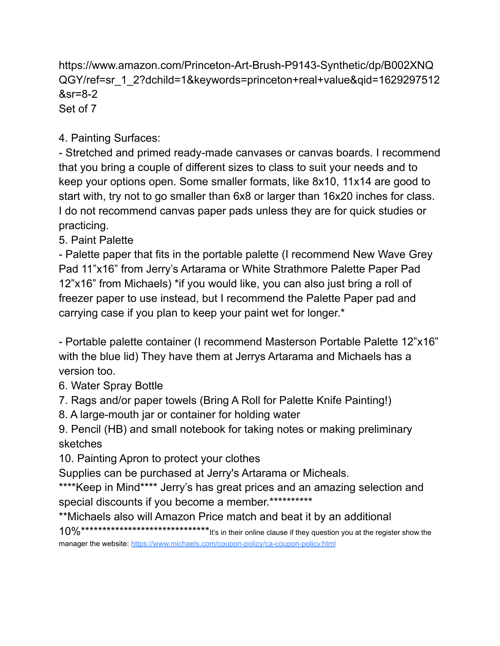https://www.amazon.com/Princeton-Art-Brush-P9143-Synthetic/dp/B002XNQ QGY/ref=sr\_1\_2?dchild=1&keywords=princeton+real+value&qid=1629297512 &sr=8-2 Set of 7

4. Painting Surfaces:

- Stretched and primed ready-made canvases or canvas boards. I recommend that you bring a couple of different sizes to class to suit your needs and to keep your options open. Some smaller formats, like 8x10, 11x14 are good to start with, try not to go smaller than 6x8 or larger than 16x20 inches for class. I do not recommend canvas paper pads unless they are for quick studies or practicing.

5. Paint Palette

- Palette paper that fits in the portable palette (I recommend New Wave Grey Pad 11"x16" from Jerry's Artarama or White Strathmore Palette Paper Pad 12"x16" from Michaels) \*if you would like, you can also just bring a roll of freezer paper to use instead, but I recommend the Palette Paper pad and carrying case if you plan to keep your paint wet for longer.\*

- Portable palette container (I recommend Masterson Portable Palette 12"x16" with the blue lid) They have them at Jerrys Artarama and Michaels has a version too.

6. Water Spray Bottle

7. Rags and/or paper towels (Bring A Roll for Palette Knife Painting!)

8. A large-mouth jar or container for holding water

9. Pencil (HB) and small notebook for taking notes or making preliminary sketches

10. Painting Apron to protect your clothes

Supplies can be purchased at Jerry's Artarama or Micheals.

\*\*\*\*Keep in Mind\*\*\*\* Jerry's has great prices and an amazing selection and special discounts if you become a member.\*\*\*\*\*\*\*\*\*\*\*

\*\*Michaels also will Amazon Price match and beat it by an additional

10%\*\*\*\*\*\*\*\*\*\*\*\*\*\*\*\*\*\*\*\*\*\*\*\*\*\*\*\*\*\*It's in their online clause if they question you at the register show the manager the website: <https://www.michaels.com/coupon-policy/ca-coupon-policy.html>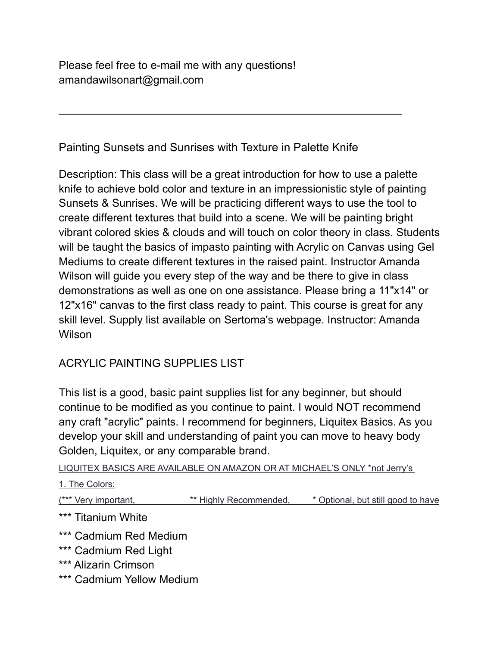Please feel free to e-mail me with any questions! amandawilsonart@gmail.com

Painting Sunsets and Sunrises with Texture in Palette Knife

\_\_\_\_\_\_\_\_\_\_\_\_\_\_\_\_\_\_\_\_\_\_\_\_\_\_\_\_\_\_\_\_\_\_\_\_\_\_\_\_\_\_\_\_\_\_\_\_\_\_\_\_\_\_\_\_

Description: This class will be a great introduction for how to use a palette knife to achieve bold color and texture in an impressionistic style of painting Sunsets & Sunrises. We will be practicing different ways to use the tool to create different textures that build into a scene. We will be painting bright vibrant colored skies & clouds and will touch on color theory in class. Students will be taught the basics of impasto painting with Acrylic on Canvas using Gel Mediums to create different textures in the raised paint. Instructor Amanda Wilson will guide you every step of the way and be there to give in class demonstrations as well as one on one assistance. Please bring a 11"x14" or 12"x16" canvas to the first class ready to paint. This course is great for any skill level. Supply list available on Sertoma's webpage. Instructor: Amanda Wilson

### ACRYLIC PAINTING SUPPLIES LIST

This list is a good, basic paint supplies list for any beginner, but should continue to be modified as you continue to paint. I would NOT recommend any craft "acrylic" paints. I recommend for beginners, Liquitex Basics. As you develop your skill and understanding of paint you can move to heavy body Golden, Liquitex, or any comparable brand.

LIQUITEX BASICS ARE AVAILABLE ON AMAZON OR AT MICHAEL'S ONLY \*not Jerry's

1. The Colors:

(\*\*\* Very important, \*\*\* Highly Recommended, \*\* Optional, but still good to have

\*\*\* Titanium White

- \*\*\* Cadmium Red Medium
- \*\*\* Cadmium Red Light
- \*\*\* Alizarin Crimson
- \*\*\* Cadmium Yellow Medium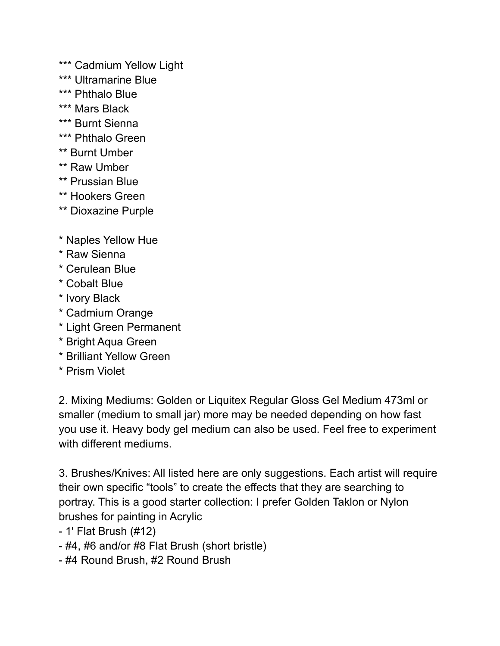- \*\*\* Cadmium Yellow Light
- \*\*\* Ultramarine Blue
- \*\*\* Phthalo Blue
- \*\*\* Mars Black
- \*\*\* Burnt Sienna
- \*\*\* Phthalo Green
- \*\* Burnt Umber
- \*\* Raw Umber
- \*\* Prussian Blue
- \*\* Hookers Green
- \*\* Dioxazine Purple
- \* Naples Yellow Hue
- \* Raw Sienna
- \* Cerulean Blue
- \* Cobalt Blue
- \* Ivory Black
- \* Cadmium Orange
- \* Light Green Permanent
- \* Bright Aqua Green
- \* Brilliant Yellow Green
- \* Prism Violet

2. Mixing Mediums: Golden or Liquitex Regular Gloss Gel Medium 473ml or smaller (medium to small jar) more may be needed depending on how fast you use it. Heavy body gel medium can also be used. Feel free to experiment with different mediums.

3. Brushes/Knives: All listed here are only suggestions. Each artist will require their own specific "tools" to create the effects that they are searching to portray. This is a good starter collection: I prefer Golden Taklon or Nylon brushes for painting in Acrylic

- 1' Flat Brush (#12)
- #4, #6 and/or #8 Flat Brush (short bristle)
- #4 Round Brush, #2 Round Brush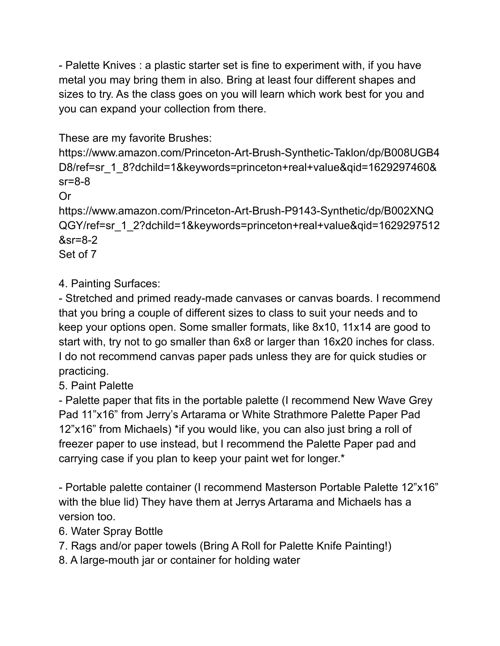- Palette Knives : a plastic starter set is fine to experiment with, if you have metal you may bring them in also. Bring at least four different shapes and sizes to try. As the class goes on you will learn which work best for you and you can expand your collection from there.

These are my favorite Brushes:

https://www.amazon.com/Princeton-Art-Brush-Synthetic-Taklon/dp/B008UGB4 D8/ref=sr\_1\_8?dchild=1&keywords=princeton+real+value&qid=1629297460& sr=8-8

Or

https://www.amazon.com/Princeton-Art-Brush-P9143-Synthetic/dp/B002XNQ QGY/ref=sr\_1\_2?dchild=1&keywords=princeton+real+value&qid=1629297512 &sr=8-2 Set of 7

4. Painting Surfaces:

- Stretched and primed ready-made canvases or canvas boards. I recommend that you bring a couple of different sizes to class to suit your needs and to keep your options open. Some smaller formats, like 8x10, 11x14 are good to start with, try not to go smaller than 6x8 or larger than 16x20 inches for class. I do not recommend canvas paper pads unless they are for quick studies or practicing.

5. Paint Palette

- Palette paper that fits in the portable palette (I recommend New Wave Grey Pad 11"x16" from Jerry's Artarama or White Strathmore Palette Paper Pad 12"x16" from Michaels) \*if you would like, you can also just bring a roll of freezer paper to use instead, but I recommend the Palette Paper pad and carrying case if you plan to keep your paint wet for longer.\*

- Portable palette container (I recommend Masterson Portable Palette 12"x16" with the blue lid) They have them at Jerrys Artarama and Michaels has a version too.

6. Water Spray Bottle

7. Rags and/or paper towels (Bring A Roll for Palette Knife Painting!)

8. A large-mouth jar or container for holding water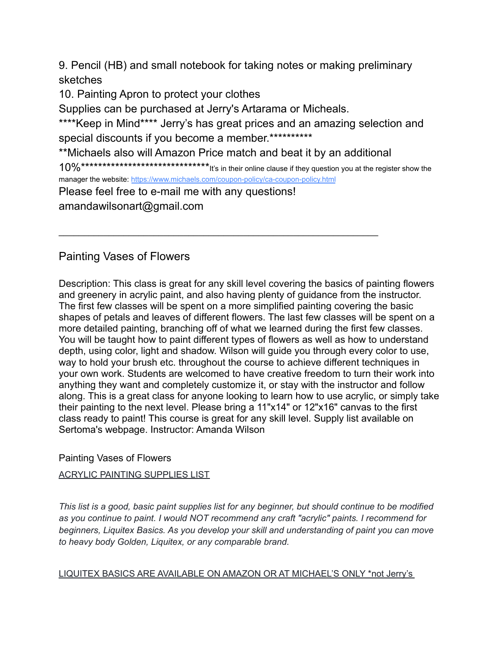9. Pencil (HB) and small notebook for taking notes or making preliminary sketches

10. Painting Apron to protect your clothes

Supplies can be purchased at Jerry's Artarama or Micheals.

\*\*\*\*Keep in Mind\*\*\*\* Jerry's has great prices and an amazing selection and special discounts if you become a member.\*\*\*\*\*\*\*\*\*\*\*

\*\*Michaels also will Amazon Price match and beat it by an additional

\_\_\_\_\_\_\_\_\_\_\_\_\_\_\_\_\_\_\_\_\_\_\_\_\_\_\_\_\_\_\_\_\_\_\_\_\_\_\_\_\_\_\_\_\_\_\_\_\_\_\_\_\_\_\_\_\_\_\_\_\_\_\_\_

10%\*\*\*\*\*\*\*\*\*\*\*\*\*\*\*\*\*\*\*\*\*\*\*\*\*\*\*\*\*\*It's in their online clause if they question you at the register show the manager the website: <https://www.michaels.com/coupon-policy/ca-coupon-policy.html>

Please feel free to e-mail me with any questions!

amandawilsonart@gmail.com

### Painting Vases of Flowers

Description: This class is great for any skill level covering the basics of painting flowers and greenery in acrylic paint, and also having plenty of guidance from the instructor. The first few classes will be spent on a more simplified painting covering the basic shapes of petals and leaves of different flowers. The last few classes will be spent on a more detailed painting, branching off of what we learned during the first few classes. You will be taught how to paint different types of flowers as well as how to understand depth, using color, light and shadow. Wilson will guide you through every color to use, way to hold your brush etc. throughout the course to achieve different techniques in your own work. Students are welcomed to have creative freedom to turn their work into anything they want and completely customize it, or stay with the instructor and follow along. This is a great class for anyone looking to learn how to use acrylic, or simply take their painting to the next level. Please bring a 11"x14" or 12"x16" canvas to the first class ready to paint! This course is great for any skill level. Supply list available on Sertoma's webpage. Instructor: Amanda Wilson

### Painting Vases of Flowers

### ACRYLIC PAINTING SUPPLIES LIST

This list is a good, basic paint supplies list for any beginner, but should continue to be modified *as you continue to paint. I would NOT recommend any craft "acrylic" paints. I recommend for beginners, Liquitex Basics. As you develop your skill and understanding of paint you can move to heavy body Golden, Liquitex, or any comparable brand.*

LIQUITEX BASICS ARE AVAILABLE ON AMAZON OR AT MICHAEL'S ONLY \*not Jerry's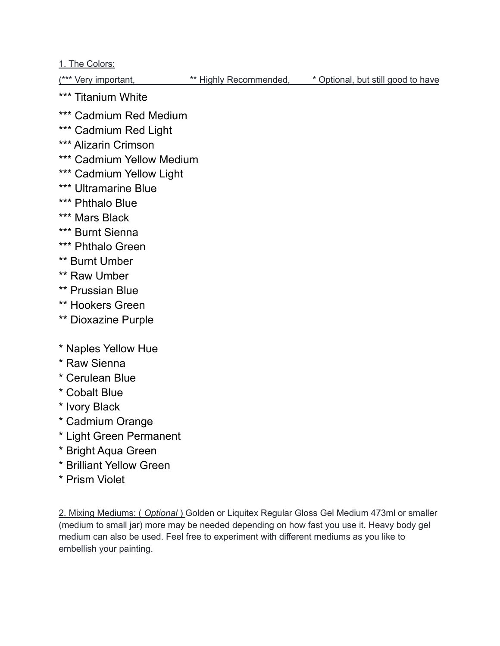1. The Colors:

(\*\*\* Very important, \*\* Highly Recommended, \* Optional, but still good to have

- \*\*\* Titanium White
- \*\*\* Cadmium Red Medium
- \*\*\* Cadmium Red Light
- \*\*\* Alizarin Crimson
- \*\*\* Cadmium Yellow Medium
- \*\*\* Cadmium Yellow Light
- \*\*\* Ultramarine Blue
- \*\*\* Phthalo Blue
- \*\*\* Mars Black
- \*\*\* Burnt Sienna
- \*\*\* Phthalo Green
- \*\* Burnt Umber
- \*\* Raw Umber
- \*\* Prussian Blue
- \*\* Hookers Green
- \*\* Dioxazine Purple
- \* Naples Yellow Hue
- \* Raw Sienna
- \* Cerulean Blue
- \* Cobalt Blue
- \* Ivory Black
- \* Cadmium Orange
- \* Light Green Permanent
- \* Bright Aqua Green
- \* Brilliant Yellow Green
- \* Prism Violet

2. Mixing Mediums: ( *Optional* ) Golden or Liquitex Regular Gloss Gel Medium 473ml or smaller (medium to small jar) more may be needed depending on how fast you use it. Heavy body gel medium can also be used. Feel free to experiment with different mediums as you like to embellish your painting.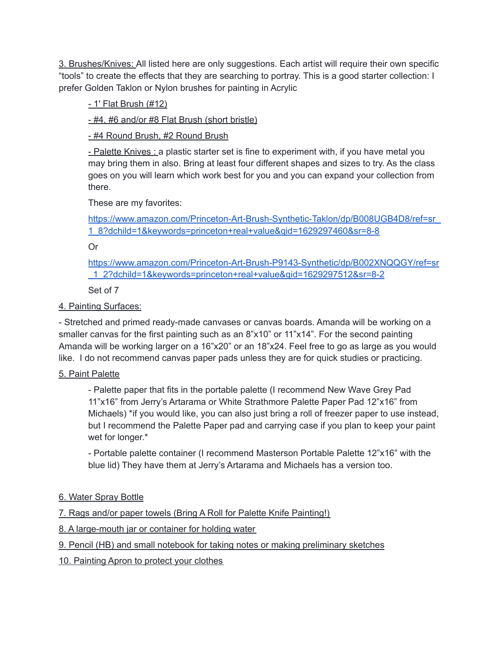3. Brushes/Knives: All listed here are only suggestions. Each artist will require their own specific "tools" to create the effects that they are searching to portray. This is a good starter collection: I prefer Golden Taklon or Nylon brushes for painting in Acrylic

- 1' Flat Brush (#12)

- #4, #6 and/or #8 Flat Brush (short bristle)

- #4 Round Brush, #2 Round Brush

- Palette Knives : a plastic starter set is fine to experiment with, if you have metal you may bring them in also. Bring at least four different shapes and sizes to try. As the class goes on you will learn which work best for you and you can expand your collection from there.

These are my favorites:

https://www.amazon.com/Princeton-Art-Brush-Synthetic-Taklon/dp/B008UGB4D8/ref=sr [1\\_8?dchild=1&keywords=princeton+real+value&qid=1629297460&sr=8-8](https://www.amazon.com/Princeton-Art-Brush-Synthetic-Taklon/dp/B008UGB4D8/ref=sr_1_8?dchild=1&keywords=princeton+real+value&qid=1629297460&sr=8-8)

Or

[https://www.amazon.com/Princeton-Art-Brush-P9143-Synthetic/dp/B002XNQQGY/ref=sr](https://www.amazon.com/Princeton-Art-Brush-P9143-Synthetic/dp/B002XNQQGY/ref=sr_1_2?dchild=1&keywords=princeton+real+value&qid=1629297512&sr=8-2) [\\_1\\_2?dchild=1&keywords=princeton+real+value&qid=1629297512&sr=8-2](https://www.amazon.com/Princeton-Art-Brush-P9143-Synthetic/dp/B002XNQQGY/ref=sr_1_2?dchild=1&keywords=princeton+real+value&qid=1629297512&sr=8-2)

Set of 7

#### 4. Painting Surfaces:

- Stretched and primed ready-made canvases or canvas boards. Amanda will be working on a smaller canvas for the first painting such as an 8"x10" or 11"x14". For the second painting Amanda will be working larger on a 16"x20" or an 18"x24. Feel free to go as large as you would like. I do not recommend canvas paper pads unless they are for quick studies or practicing.

#### 5. Paint Palette

- Palette paper that fits in the portable palette (I recommend New Wave Grey Pad 11"x16" from Jerry's Artarama or White Strathmore Palette Paper Pad 12"x16" from Michaels) \*if you would like, you can also just bring a roll of freezer paper to use instead, but I recommend the Palette Paper pad and carrying case if you plan to keep your paint wet for longer.\*

- Portable palette container (I recommend Masterson Portable Palette 12"x16" with the blue lid) They have them at Jerry's Artarama and Michaels has a version too.

#### 6. Water Spray Bottle

7. Rags and/or paper towels (Bring A Roll for Palette Knife Painting!)

- 8. A large-mouth jar or container for holding water
- 9. Pencil (HB) and small notebook for taking notes or making preliminary sketches
- 10. Painting Apron to protect your clothes